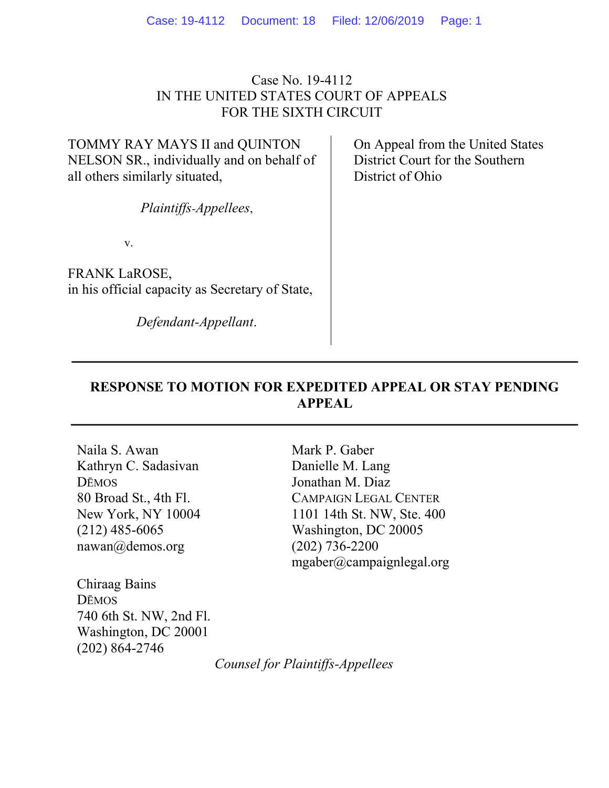### Case No. 19-4112 IN THE UNITED STATES COURT OF APPEALS FOR THE SIXTH CIRCUIT

TOMMY RAY MAYS II and QUINTON NELSON SR., individually and on behalf of all others similarly situated,

Plaintiffs-Appellees,

v.

FRANK LaROSE, in his official capacity as Secretary of State,

Defendant-Appellant.

 On Appeal from the United States District Court for the Southern District of Ohio

## RESPONSE TO MOTION FOR EXPEDITED APPEAL OR STAY PENDING APPEAL

Naila S. Awan Kathryn C. Sadasivan DĒMOS 80 Broad St., 4th Fl. New York, NY 10004 (212) 485-6065 nawan@demos.org

Chiraag Bains DĒMOS 740 6th St. NW, 2nd Fl. Washington, DC 20001 (202) 864-2746

Mark P. Gaber Danielle M. Lang Jonathan M. Diaz CAMPAIGN LEGAL CENTER 1101 14th St. NW, Ste. 400 Washington, DC 20005 (202) 736-2200 mgaber@campaignlegal.org

Counsel for Plaintiffs-Appellees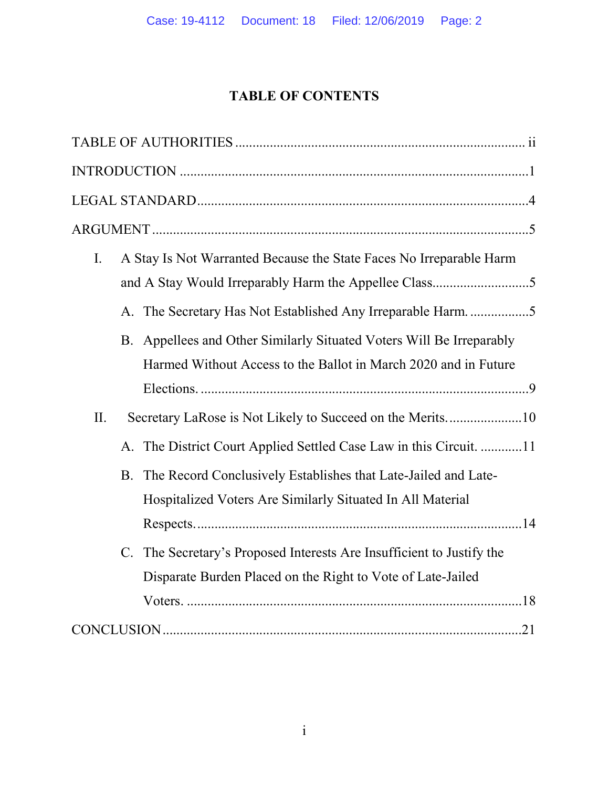# TABLE OF CONTENTS

| I.  | A Stay Is Not Warranted Because the State Faces No Irreparable Harm |                                                                                                                                         |  |  |
|-----|---------------------------------------------------------------------|-----------------------------------------------------------------------------------------------------------------------------------------|--|--|
|     |                                                                     | A. The Secretary Has Not Established Any Irreparable Harm. 5                                                                            |  |  |
|     |                                                                     | B. Appellees and Other Similarly Situated Voters Will Be Irreparably<br>Harmed Without Access to the Ballot in March 2020 and in Future |  |  |
|     |                                                                     |                                                                                                                                         |  |  |
| II. |                                                                     |                                                                                                                                         |  |  |
|     |                                                                     | A. The District Court Applied Settled Case Law in this Circuit. 11                                                                      |  |  |
|     | <b>B.</b>                                                           | The Record Conclusively Establishes that Late-Jailed and Late-<br>Hospitalized Voters Are Similarly Situated In All Material            |  |  |
|     |                                                                     |                                                                                                                                         |  |  |
|     |                                                                     | C. The Secretary's Proposed Interests Are Insufficient to Justify the                                                                   |  |  |
|     |                                                                     | Disparate Burden Placed on the Right to Vote of Late-Jailed                                                                             |  |  |
|     |                                                                     |                                                                                                                                         |  |  |
|     |                                                                     |                                                                                                                                         |  |  |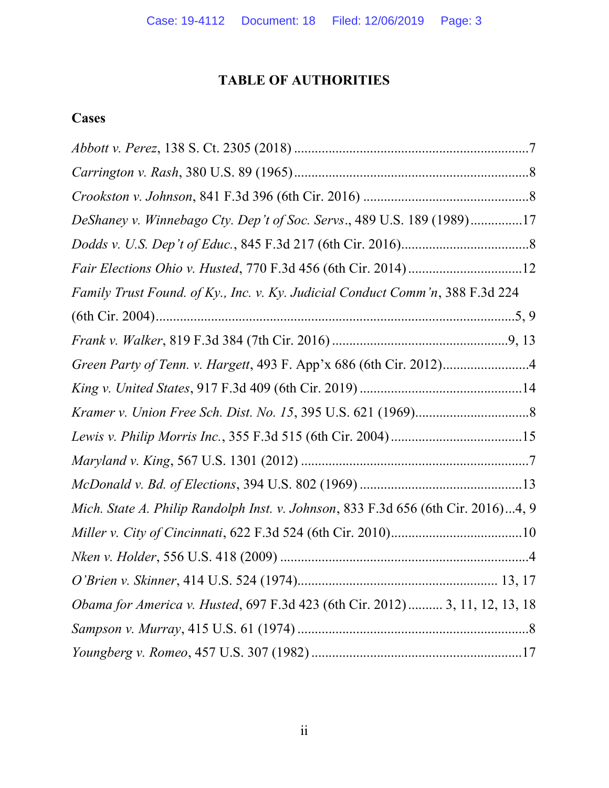# TABLE OF AUTHORITIES

# **Cases**

| DeShaney v. Winnebago Cty. Dep't of Soc. Servs., 489 U.S. 189 (1989)17            |
|-----------------------------------------------------------------------------------|
|                                                                                   |
|                                                                                   |
| Family Trust Found. of Ky., Inc. v. Ky. Judicial Conduct Comm'n, 388 F.3d 224     |
|                                                                                   |
|                                                                                   |
|                                                                                   |
|                                                                                   |
|                                                                                   |
|                                                                                   |
|                                                                                   |
|                                                                                   |
| Mich. State A. Philip Randolph Inst. v. Johnson, 833 F.3d 656 (6th Cir. 2016)4, 9 |
|                                                                                   |
|                                                                                   |
|                                                                                   |
| Obama for America v. Husted, 697 F.3d 423 (6th Cir. 2012)  3, 11, 12, 13, 18      |
|                                                                                   |
|                                                                                   |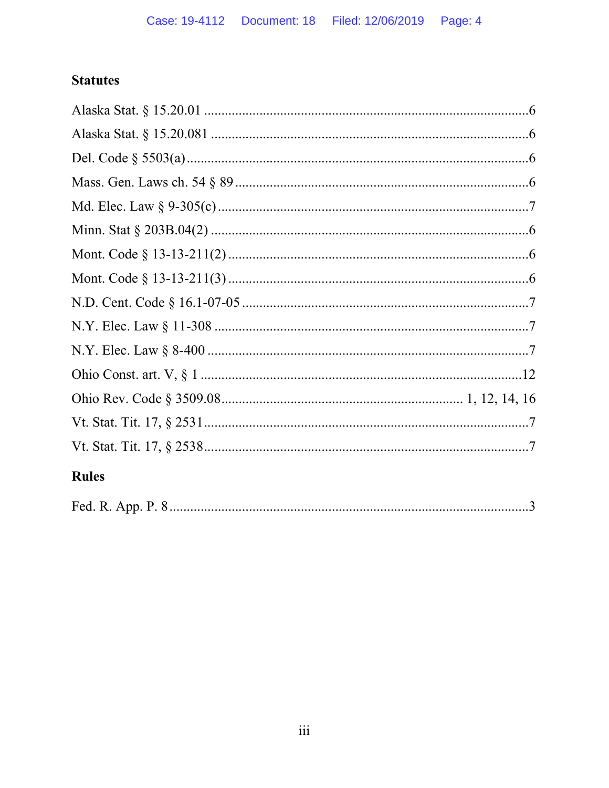# **Statutes**

| <b>Rules</b> |  |
|--------------|--|
|              |  |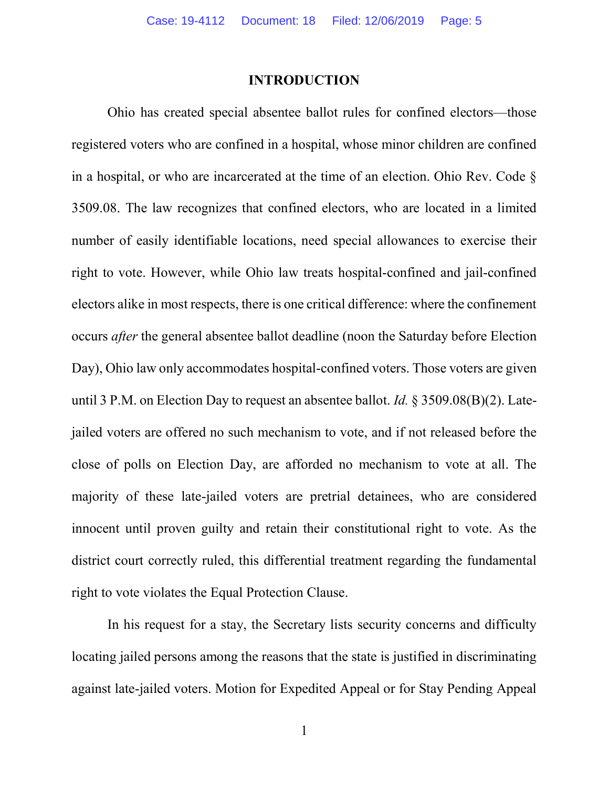#### INTRODUCTION

Ohio has created special absentee ballot rules for confined electors—those registered voters who are confined in a hospital, whose minor children are confined in a hospital, or who are incarcerated at the time of an election. Ohio Rev. Code § 3509.08. The law recognizes that confined electors, who are located in a limited number of easily identifiable locations, need special allowances to exercise their right to vote. However, while Ohio law treats hospital-confined and jail-confined electors alike in most respects, there is one critical difference: where the confinement occurs after the general absentee ballot deadline (noon the Saturday before Election Day), Ohio law only accommodates hospital-confined voters. Those voters are given until 3 P.M. on Election Day to request an absentee ballot. *Id.*  $\S$  3509.08(B)(2). Latejailed voters are offered no such mechanism to vote, and if not released before the close of polls on Election Day, are afforded no mechanism to vote at all. The majority of these late-jailed voters are pretrial detainees, who are considered innocent until proven guilty and retain their constitutional right to vote. As the district court correctly ruled, this differential treatment regarding the fundamental right to vote violates the Equal Protection Clause.

In his request for a stay, the Secretary lists security concerns and difficulty locating jailed persons among the reasons that the state is justified in discriminating against late-jailed voters. Motion for Expedited Appeal or for Stay Pending Appeal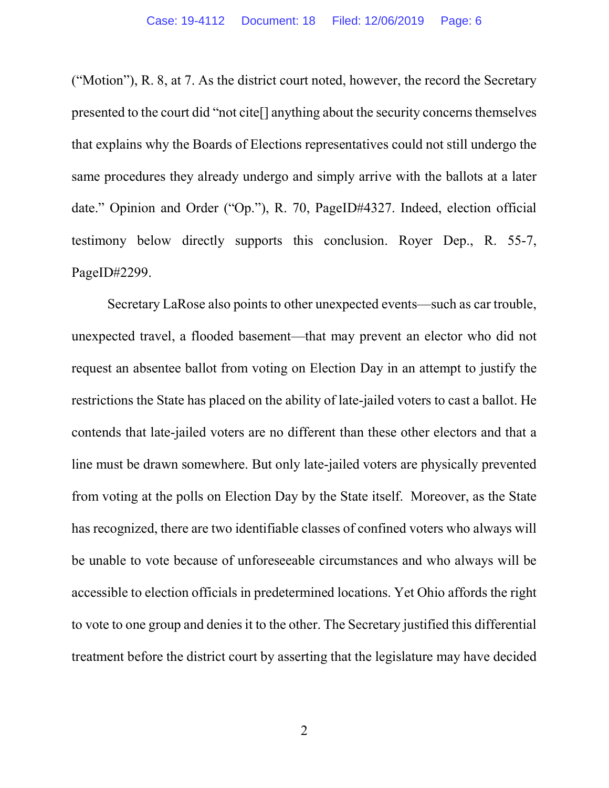("Motion"), R. 8, at 7. As the district court noted, however, the record the Secretary presented to the court did "not cite[] anything about the security concerns themselves that explains why the Boards of Elections representatives could not still undergo the same procedures they already undergo and simply arrive with the ballots at a later date." Opinion and Order ("Op."), R. 70, PageID#4327. Indeed, election official testimony below directly supports this conclusion. Royer Dep., R. 55-7, PageID#2299.

Secretary LaRose also points to other unexpected events—such as car trouble, unexpected travel, a flooded basement—that may prevent an elector who did not request an absentee ballot from voting on Election Day in an attempt to justify the restrictions the State has placed on the ability of late-jailed voters to cast a ballot. He contends that late-jailed voters are no different than these other electors and that a line must be drawn somewhere. But only late-jailed voters are physically prevented from voting at the polls on Election Day by the State itself. Moreover, as the State has recognized, there are two identifiable classes of confined voters who always will be unable to vote because of unforeseeable circumstances and who always will be accessible to election officials in predetermined locations. Yet Ohio affords the right to vote to one group and denies it to the other. The Secretary justified this differential treatment before the district court by asserting that the legislature may have decided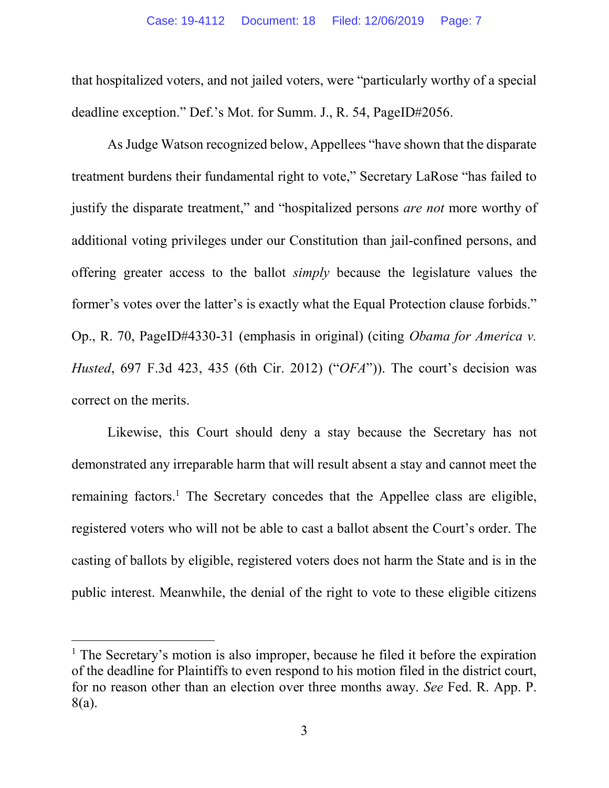that hospitalized voters, and not jailed voters, were "particularly worthy of a special deadline exception." Def.'s Mot. for Summ. J., R. 54, PageID#2056.

As Judge Watson recognized below, Appellees "have shown that the disparate treatment burdens their fundamental right to vote," Secretary LaRose "has failed to justify the disparate treatment," and "hospitalized persons *are not* more worthy of additional voting privileges under our Constitution than jail-confined persons, and offering greater access to the ballot simply because the legislature values the former's votes over the latter's is exactly what the Equal Protection clause forbids." Op., R. 70, PageID#4330-31 (emphasis in original) (citing Obama for America v. Husted, 697 F.3d 423, 435 (6th Cir. 2012) ("OFA")). The court's decision was correct on the merits.

Likewise, this Court should deny a stay because the Secretary has not demonstrated any irreparable harm that will result absent a stay and cannot meet the remaining factors.<sup>1</sup> The Secretary concedes that the Appellee class are eligible, registered voters who will not be able to cast a ballot absent the Court's order. The casting of ballots by eligible, registered voters does not harm the State and is in the public interest. Meanwhile, the denial of the right to vote to these eligible citizens

<sup>&</sup>lt;sup>1</sup> The Secretary's motion is also improper, because he filed it before the expiration of the deadline for Plaintiffs to even respond to his motion filed in the district court, for no reason other than an election over three months away. See Fed. R. App. P. 8(a).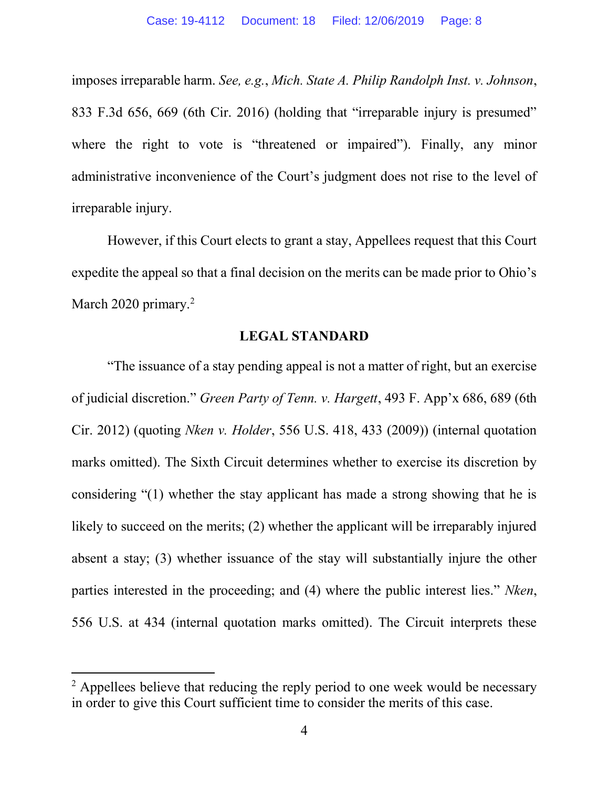imposes irreparable harm. See, e.g., Mich. State A. Philip Randolph Inst. v. Johnson, 833 F.3d 656, 669 (6th Cir. 2016) (holding that "irreparable injury is presumed" where the right to vote is "threatened or impaired"). Finally, any minor administrative inconvenience of the Court's judgment does not rise to the level of irreparable injury.

However, if this Court elects to grant a stay, Appellees request that this Court expedite the appeal so that a final decision on the merits can be made prior to Ohio's March 2020 primary.<sup>2</sup>

## LEGAL STANDARD

 "The issuance of a stay pending appeal is not a matter of right, but an exercise of judicial discretion." Green Party of Tenn. v. Hargett, 493 F. App'x 686, 689 (6th Cir. 2012) (quoting Nken v. Holder, 556 U.S. 418, 433 (2009)) (internal quotation marks omitted). The Sixth Circuit determines whether to exercise its discretion by considering "(1) whether the stay applicant has made a strong showing that he is likely to succeed on the merits; (2) whether the applicant will be irreparably injured absent a stay; (3) whether issuance of the stay will substantially injure the other parties interested in the proceeding; and (4) where the public interest lies." Nken, 556 U.S. at 434 (internal quotation marks omitted). The Circuit interprets these

<sup>&</sup>lt;sup>2</sup> Appellees believe that reducing the reply period to one week would be necessary in order to give this Court sufficient time to consider the merits of this case.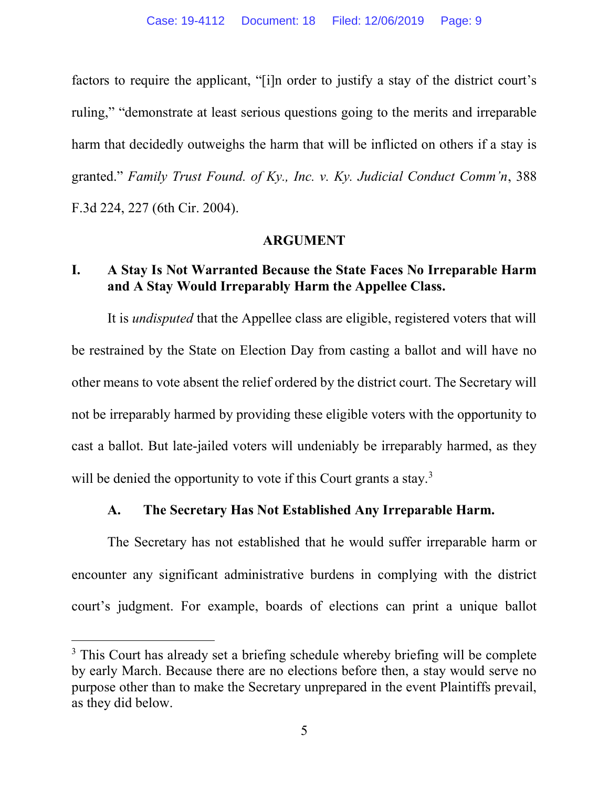factors to require the applicant, "[i]n order to justify a stay of the district court's ruling," "demonstrate at least serious questions going to the merits and irreparable harm that decidedly outweighs the harm that will be inflicted on others if a stay is granted." Family Trust Found. of Ky., Inc. v. Ky. Judicial Conduct Comm'n, 388 F.3d 224, 227 (6th Cir. 2004).

### ARGUMENT

### I. A Stay Is Not Warranted Because the State Faces No Irreparable Harm and A Stay Would Irreparably Harm the Appellee Class.

It is *undisputed* that the Appellee class are eligible, registered voters that will be restrained by the State on Election Day from casting a ballot and will have no other means to vote absent the relief ordered by the district court. The Secretary will not be irreparably harmed by providing these eligible voters with the opportunity to cast a ballot. But late-jailed voters will undeniably be irreparably harmed, as they will be denied the opportunity to vote if this Court grants a stay. $3$ 

### A. The Secretary Has Not Established Any Irreparable Harm.

The Secretary has not established that he would suffer irreparable harm or encounter any significant administrative burdens in complying with the district court's judgment. For example, boards of elections can print a unique ballot

<sup>&</sup>lt;sup>3</sup> This Court has already set a briefing schedule whereby briefing will be complete by early March. Because there are no elections before then, a stay would serve no purpose other than to make the Secretary unprepared in the event Plaintiffs prevail, as they did below.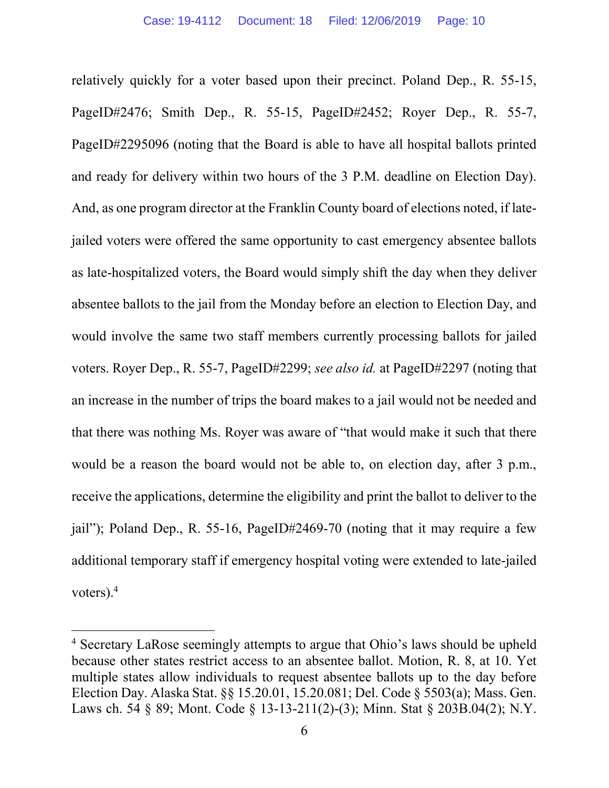relatively quickly for a voter based upon their precinct. Poland Dep., R. 55-15, PageID#2476; Smith Dep., R. 55-15, PageID#2452; Royer Dep., R. 55-7, PageID#2295096 (noting that the Board is able to have all hospital ballots printed and ready for delivery within two hours of the 3 P.M. deadline on Election Day). And, as one program director at the Franklin County board of elections noted, if latejailed voters were offered the same opportunity to cast emergency absentee ballots as late-hospitalized voters, the Board would simply shift the day when they deliver absentee ballots to the jail from the Monday before an election to Election Day, and would involve the same two staff members currently processing ballots for jailed voters. Royer Dep., R. 55-7, PageID#2299; see also id. at PageID#2297 (noting that an increase in the number of trips the board makes to a jail would not be needed and that there was nothing Ms. Royer was aware of "that would make it such that there would be a reason the board would not be able to, on election day, after 3 p.m., receive the applications, determine the eligibility and print the ballot to deliver to the jail"); Poland Dep., R. 55-16, PageID#2469-70 (noting that it may require a few additional temporary staff if emergency hospital voting were extended to late-jailed voters).<sup>4</sup>

<sup>&</sup>lt;sup>4</sup> Secretary LaRose seemingly attempts to argue that Ohio's laws should be upheld because other states restrict access to an absentee ballot. Motion, R. 8, at 10. Yet multiple states allow individuals to request absentee ballots up to the day before Election Day. Alaska Stat. §§ 15.20.01, 15.20.081; Del. Code § 5503(a); Mass. Gen. Laws ch. 54 § 89; Mont. Code § 13-13-211(2)-(3); Minn. Stat § 203B.04(2); N.Y.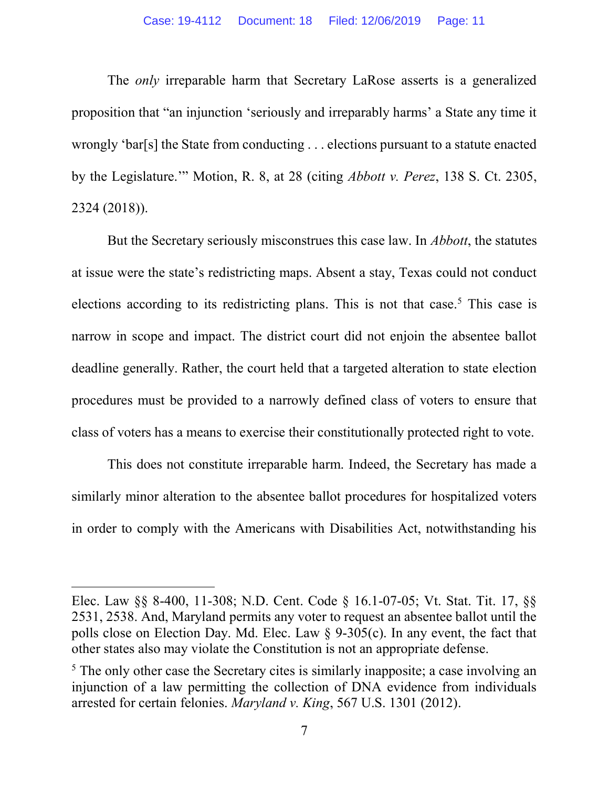The only irreparable harm that Secretary LaRose asserts is a generalized proposition that "an injunction 'seriously and irreparably harms' a State any time it wrongly 'bar[s] the State from conducting . . . elections pursuant to a statute enacted by the Legislature.'" Motion, R. 8, at 28 (citing Abbott v. Perez, 138 S. Ct. 2305, 2324 (2018)).

But the Secretary seriously misconstrues this case law. In *Abbott*, the statutes at issue were the state's redistricting maps. Absent a stay, Texas could not conduct elections according to its redistricting plans. This is not that case.<sup>5</sup> This case is narrow in scope and impact. The district court did not enjoin the absentee ballot deadline generally. Rather, the court held that a targeted alteration to state election procedures must be provided to a narrowly defined class of voters to ensure that class of voters has a means to exercise their constitutionally protected right to vote.

This does not constitute irreparable harm. Indeed, the Secretary has made a similarly minor alteration to the absentee ballot procedures for hospitalized voters in order to comply with the Americans with Disabilities Act, notwithstanding his

Elec. Law §§ 8-400, 11-308; N.D. Cent. Code § 16.1-07-05; Vt. Stat. Tit. 17, §§ 2531, 2538. And, Maryland permits any voter to request an absentee ballot until the polls close on Election Day. Md. Elec. Law § 9-305(c). In any event, the fact that other states also may violate the Constitution is not an appropriate defense.

<sup>&</sup>lt;sup>5</sup> The only other case the Secretary cites is similarly inapposite; a case involving an injunction of a law permitting the collection of DNA evidence from individuals arrested for certain felonies. Maryland v. King, 567 U.S. 1301 (2012).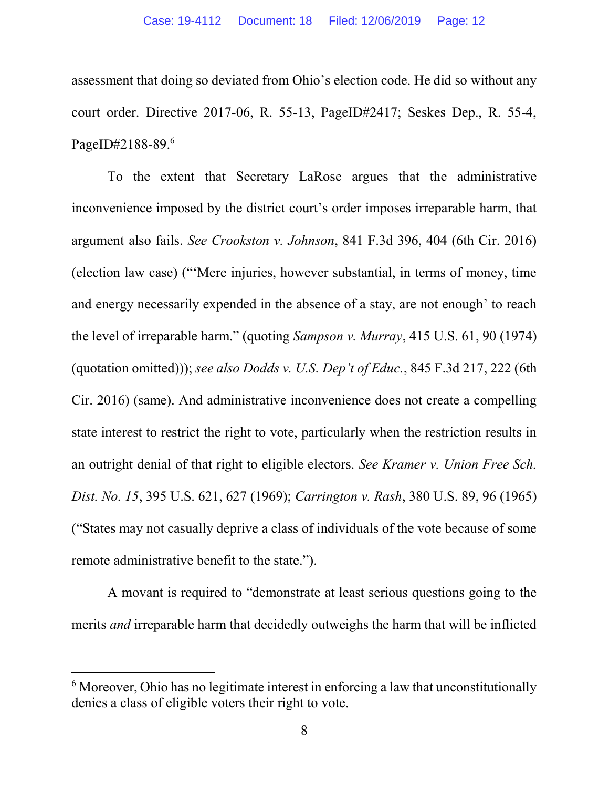assessment that doing so deviated from Ohio's election code. He did so without any court order. Directive 2017-06, R. 55-13, PageID#2417; Seskes Dep., R. 55-4, PageID#2188-89.6

To the extent that Secretary LaRose argues that the administrative inconvenience imposed by the district court's order imposes irreparable harm, that argument also fails. See Crookston v. Johnson, 841 F.3d 396, 404 (6th Cir. 2016) (election law case) ("'Mere injuries, however substantial, in terms of money, time and energy necessarily expended in the absence of a stay, are not enough' to reach the level of irreparable harm." (quoting Sampson v. Murray, 415 U.S. 61, 90 (1974) (quotation omitted))); see also Dodds v. U.S. Dep't of Educ., 845 F.3d 217, 222 (6th Cir. 2016) (same). And administrative inconvenience does not create a compelling state interest to restrict the right to vote, particularly when the restriction results in an outright denial of that right to eligible electors. See Kramer v. Union Free Sch. Dist. No. 15, 395 U.S. 621, 627 (1969); Carrington v. Rash, 380 U.S. 89, 96 (1965) ("States may not casually deprive a class of individuals of the vote because of some remote administrative benefit to the state.").

A movant is required to "demonstrate at least serious questions going to the merits and irreparable harm that decidedly outweighs the harm that will be inflicted

 $6$  Moreover, Ohio has no legitimate interest in enforcing a law that unconstitutionally denies a class of eligible voters their right to vote.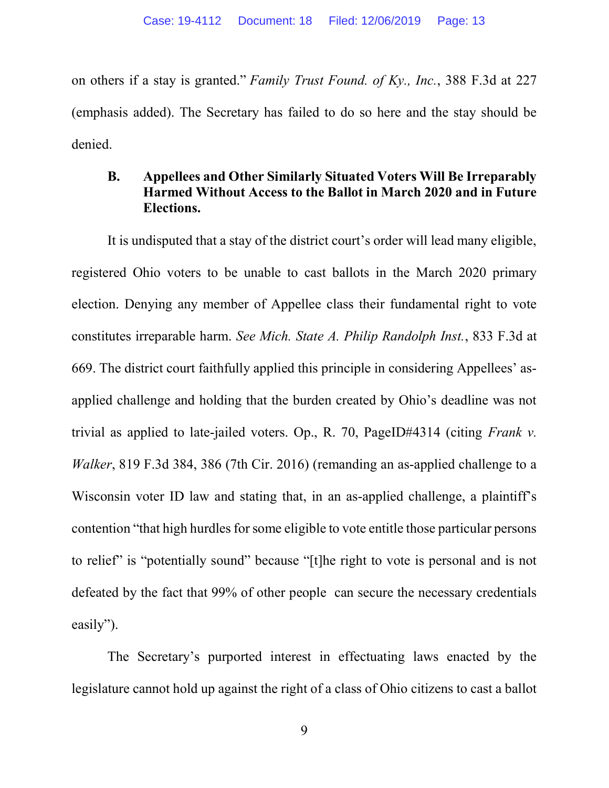on others if a stay is granted." Family Trust Found. of Ky., Inc., 388 F.3d at 227 (emphasis added). The Secretary has failed to do so here and the stay should be denied.

### B. Appellees and Other Similarly Situated Voters Will Be Irreparably Harmed Without Access to the Ballot in March 2020 and in Future Elections.

It is undisputed that a stay of the district court's order will lead many eligible, registered Ohio voters to be unable to cast ballots in the March 2020 primary election. Denying any member of Appellee class their fundamental right to vote constitutes irreparable harm. See Mich. State A. Philip Randolph Inst., 833 F.3d at 669. The district court faithfully applied this principle in considering Appellees' asapplied challenge and holding that the burden created by Ohio's deadline was not trivial as applied to late-jailed voters. Op., R. 70, PageID#4314 (citing Frank v. Walker, 819 F.3d 384, 386 (7th Cir. 2016) (remanding an as-applied challenge to a Wisconsin voter ID law and stating that, in an as-applied challenge, a plaintiff's contention "that high hurdles for some eligible to vote entitle those particular persons to relief" is "potentially sound" because "[t]he right to vote is personal and is not defeated by the fact that 99% of other people can secure the necessary credentials easily").

The Secretary's purported interest in effectuating laws enacted by the legislature cannot hold up against the right of a class of Ohio citizens to cast a ballot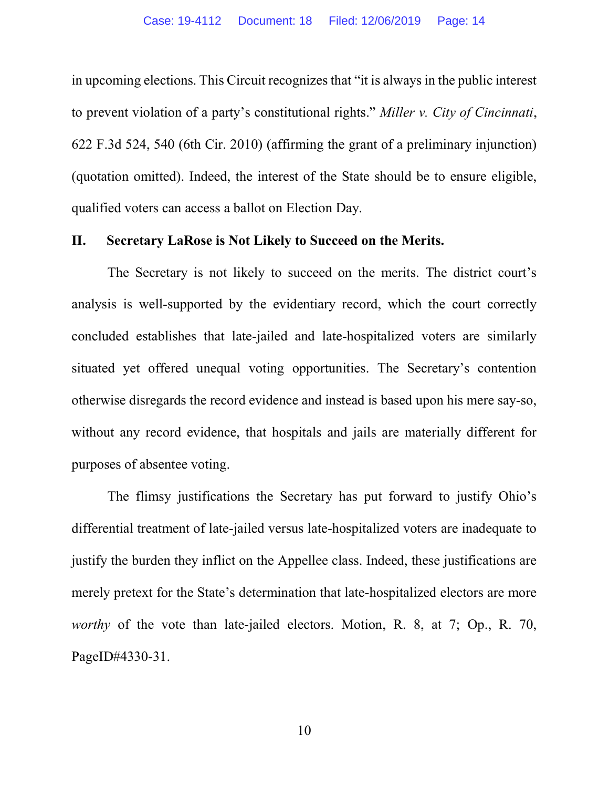in upcoming elections. This Circuit recognizes that "it is always in the public interest to prevent violation of a party's constitutional rights." Miller v. City of Cincinnati, 622 F.3d 524, 540 (6th Cir. 2010) (affirming the grant of a preliminary injunction) (quotation omitted). Indeed, the interest of the State should be to ensure eligible, qualified voters can access a ballot on Election Day.

#### II. Secretary LaRose is Not Likely to Succeed on the Merits.

The Secretary is not likely to succeed on the merits. The district court's analysis is well-supported by the evidentiary record, which the court correctly concluded establishes that late-jailed and late-hospitalized voters are similarly situated yet offered unequal voting opportunities. The Secretary's contention otherwise disregards the record evidence and instead is based upon his mere say-so, without any record evidence, that hospitals and jails are materially different for purposes of absentee voting.

The flimsy justifications the Secretary has put forward to justify Ohio's differential treatment of late-jailed versus late-hospitalized voters are inadequate to justify the burden they inflict on the Appellee class. Indeed, these justifications are merely pretext for the State's determination that late-hospitalized electors are more worthy of the vote than late-jailed electors. Motion, R. 8, at 7; Op., R. 70, PageID#4330-31.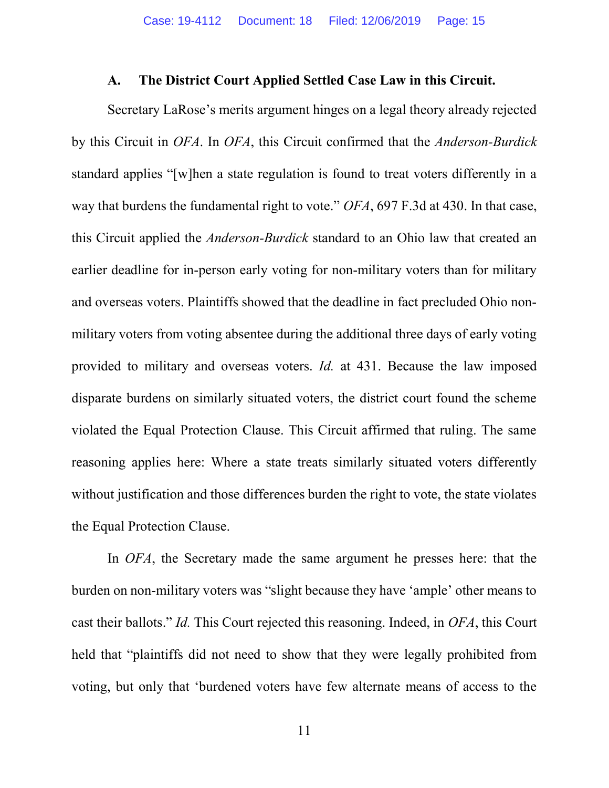#### A. The District Court Applied Settled Case Law in this Circuit.

 Secretary LaRose's merits argument hinges on a legal theory already rejected by this Circuit in OFA. In OFA, this Circuit confirmed that the Anderson-Burdick standard applies "[w]hen a state regulation is found to treat voters differently in a way that burdens the fundamental right to vote." OFA, 697 F.3d at 430. In that case, this Circuit applied the Anderson-Burdick standard to an Ohio law that created an earlier deadline for in-person early voting for non-military voters than for military and overseas voters. Plaintiffs showed that the deadline in fact precluded Ohio nonmilitary voters from voting absentee during the additional three days of early voting provided to military and overseas voters. Id. at 431. Because the law imposed disparate burdens on similarly situated voters, the district court found the scheme violated the Equal Protection Clause. This Circuit affirmed that ruling. The same reasoning applies here: Where a state treats similarly situated voters differently without justification and those differences burden the right to vote, the state violates the Equal Protection Clause.

In OFA, the Secretary made the same argument he presses here: that the burden on non-military voters was "slight because they have 'ample' other means to cast their ballots." Id. This Court rejected this reasoning. Indeed, in OFA, this Court held that "plaintiffs did not need to show that they were legally prohibited from voting, but only that 'burdened voters have few alternate means of access to the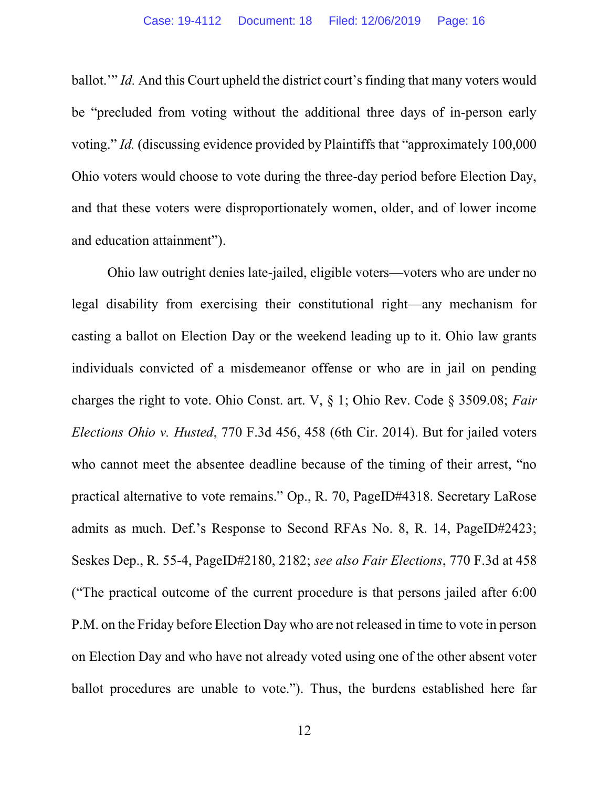ballot.'" Id. And this Court upheld the district court's finding that many voters would be "precluded from voting without the additional three days of in-person early voting." Id. (discussing evidence provided by Plaintiffs that "approximately 100,000 Ohio voters would choose to vote during the three-day period before Election Day, and that these voters were disproportionately women, older, and of lower income and education attainment").

Ohio law outright denies late-jailed, eligible voters—voters who are under no legal disability from exercising their constitutional right—any mechanism for casting a ballot on Election Day or the weekend leading up to it. Ohio law grants individuals convicted of a misdemeanor offense or who are in jail on pending charges the right to vote. Ohio Const. art. V, § 1; Ohio Rev. Code § 3509.08; Fair Elections Ohio v. Husted, 770 F.3d 456, 458 (6th Cir. 2014). But for jailed voters who cannot meet the absentee deadline because of the timing of their arrest, "no practical alternative to vote remains." Op., R. 70, PageID#4318. Secretary LaRose admits as much. Def.'s Response to Second RFAs No. 8, R. 14, PageID#2423; Seskes Dep., R. 55-4, PageID#2180, 2182; see also Fair Elections, 770 F.3d at 458 ("The practical outcome of the current procedure is that persons jailed after 6:00 P.M. on the Friday before Election Day who are not released in time to vote in person on Election Day and who have not already voted using one of the other absent voter ballot procedures are unable to vote."). Thus, the burdens established here far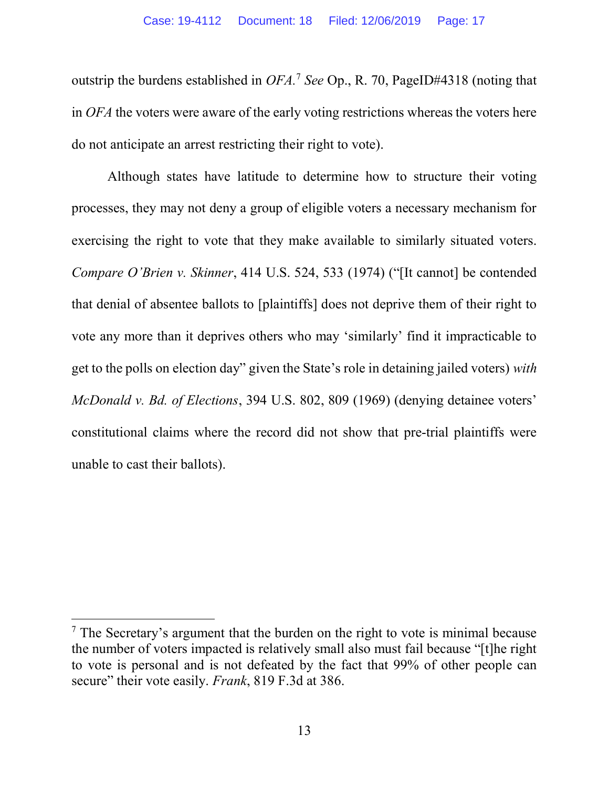outstrip the burdens established in  $OFA$ .<sup>7</sup> See Op., R. 70, PageID#4318 (noting that in OFA the voters were aware of the early voting restrictions whereas the voters here do not anticipate an arrest restricting their right to vote).

Although states have latitude to determine how to structure their voting processes, they may not deny a group of eligible voters a necessary mechanism for exercising the right to vote that they make available to similarly situated voters. Compare O'Brien v. Skinner, 414 U.S. 524, 533 (1974) ("[It cannot] be contended that denial of absentee ballots to [plaintiffs] does not deprive them of their right to vote any more than it deprives others who may 'similarly' find it impracticable to get to the polls on election day" given the State's role in detaining jailed voters) with McDonald v. Bd. of Elections, 394 U.S. 802, 809 (1969) (denying detainee voters' constitutional claims where the record did not show that pre-trial plaintiffs were unable to cast their ballots).

<sup>&</sup>lt;sup>7</sup> The Secretary's argument that the burden on the right to vote is minimal because the number of voters impacted is relatively small also must fail because "[t]he right to vote is personal and is not defeated by the fact that 99% of other people can secure" their vote easily. Frank, 819 F.3d at 386.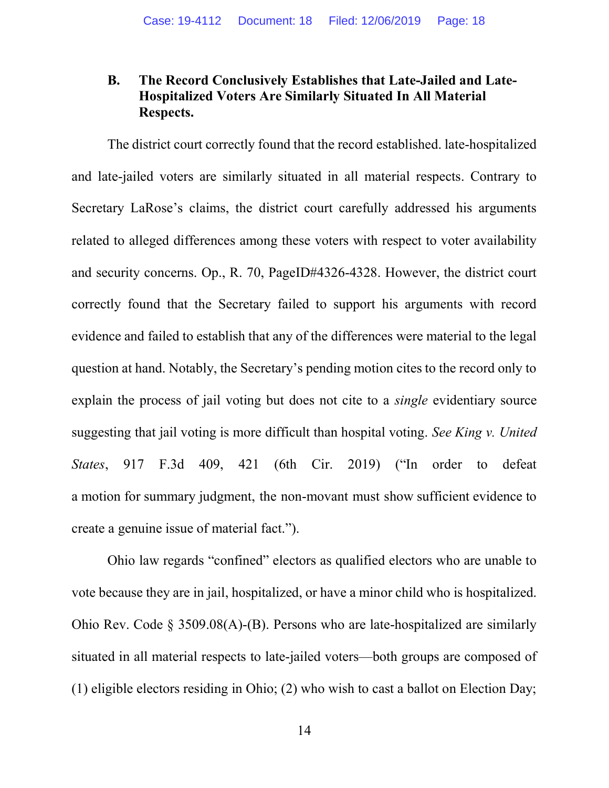## B. The Record Conclusively Establishes that Late-Jailed and Late-Hospitalized Voters Are Similarly Situated In All Material Respects.

 The district court correctly found that the record established. late-hospitalized and late-jailed voters are similarly situated in all material respects. Contrary to Secretary LaRose's claims, the district court carefully addressed his arguments related to alleged differences among these voters with respect to voter availability and security concerns. Op., R. 70, PageID#4326-4328. However, the district court correctly found that the Secretary failed to support his arguments with record evidence and failed to establish that any of the differences were material to the legal question at hand. Notably, the Secretary's pending motion cites to the record only to explain the process of jail voting but does not cite to a single evidentiary source suggesting that jail voting is more difficult than hospital voting. See King v. United States, 917 F.3d 409, 421 (6th Cir. 2019) ("In order to defeat a motion for summary judgment, the non-movant must show sufficient evidence to create a genuine issue of material fact.").

Ohio law regards "confined" electors as qualified electors who are unable to vote because they are in jail, hospitalized, or have a minor child who is hospitalized. Ohio Rev. Code  $\S$  3509.08(A)-(B). Persons who are late-hospitalized are similarly situated in all material respects to late-jailed voters—both groups are composed of (1) eligible electors residing in Ohio; (2) who wish to cast a ballot on Election Day;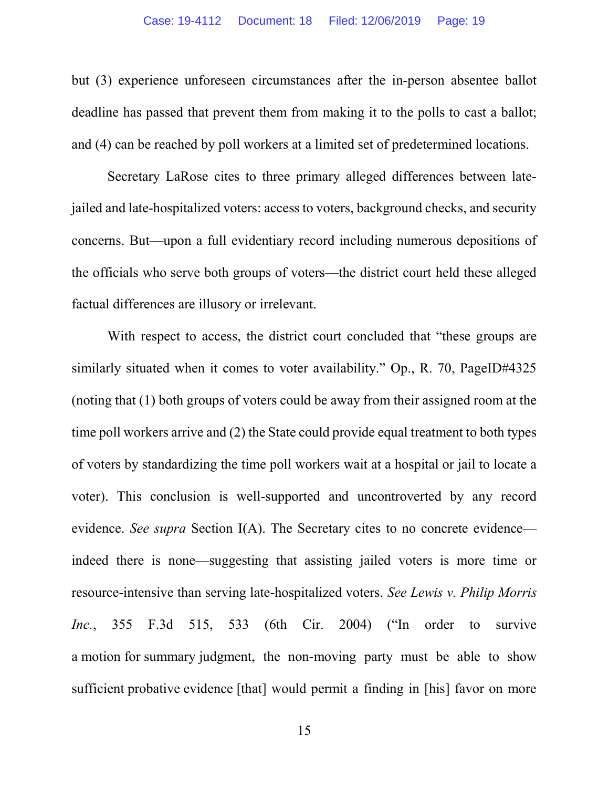but (3) experience unforeseen circumstances after the in-person absentee ballot deadline has passed that prevent them from making it to the polls to cast a ballot; and (4) can be reached by poll workers at a limited set of predetermined locations.

 Secretary LaRose cites to three primary alleged differences between latejailed and late-hospitalized voters: access to voters, background checks, and security concerns. But—upon a full evidentiary record including numerous depositions of the officials who serve both groups of voters—the district court held these alleged factual differences are illusory or irrelevant.

With respect to access, the district court concluded that "these groups are similarly situated when it comes to voter availability." Op., R. 70, PageID#4325 (noting that (1) both groups of voters could be away from their assigned room at the time poll workers arrive and (2) the State could provide equal treatment to both types of voters by standardizing the time poll workers wait at a hospital or jail to locate a voter). This conclusion is well-supported and uncontroverted by any record evidence. See supra Section I(A). The Secretary cites to no concrete evidence indeed there is none—suggesting that assisting jailed voters is more time or resource-intensive than serving late-hospitalized voters. See Lewis v. Philip Morris Inc., 355 F.3d 515, 533 (6th Cir. 2004) ("In order to survive a motion for summary judgment, the non-moving party must be able to show sufficient probative evidence [that] would permit a finding in [his] favor on more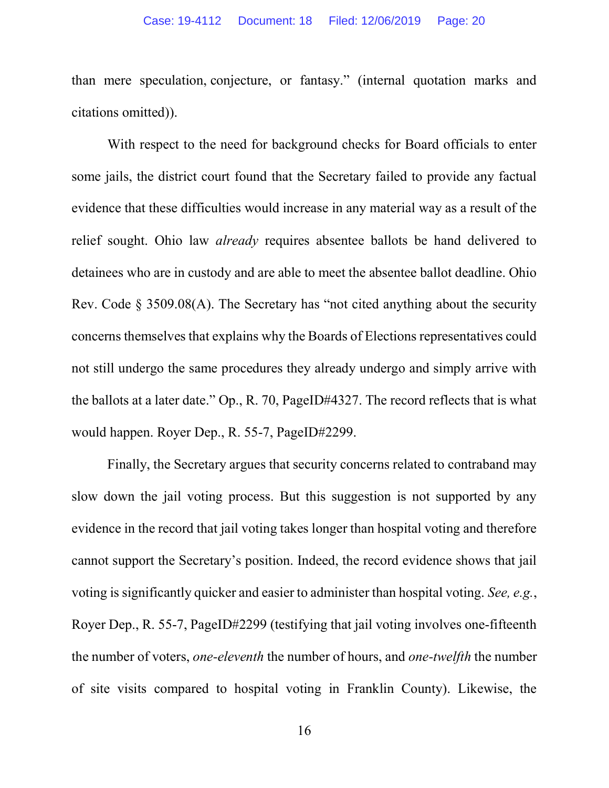than mere speculation, conjecture, or fantasy." (internal quotation marks and citations omitted)).

With respect to the need for background checks for Board officials to enter some jails, the district court found that the Secretary failed to provide any factual evidence that these difficulties would increase in any material way as a result of the relief sought. Ohio law *already* requires absentee ballots be hand delivered to detainees who are in custody and are able to meet the absentee ballot deadline. Ohio Rev. Code § 3509.08(A). The Secretary has "not cited anything about the security concerns themselves that explains why the Boards of Elections representatives could not still undergo the same procedures they already undergo and simply arrive with the ballots at a later date." Op., R. 70, PageID#4327. The record reflects that is what would happen. Royer Dep., R. 55-7, PageID#2299.

 Finally, the Secretary argues that security concerns related to contraband may slow down the jail voting process. But this suggestion is not supported by any evidence in the record that jail voting takes longer than hospital voting and therefore cannot support the Secretary's position. Indeed, the record evidence shows that jail voting is significantly quicker and easier to administer than hospital voting. See, e.g., Royer Dep., R. 55-7, PageID#2299 (testifying that jail voting involves one-fifteenth the number of voters, one-eleventh the number of hours, and one-twelfth the number of site visits compared to hospital voting in Franklin County). Likewise, the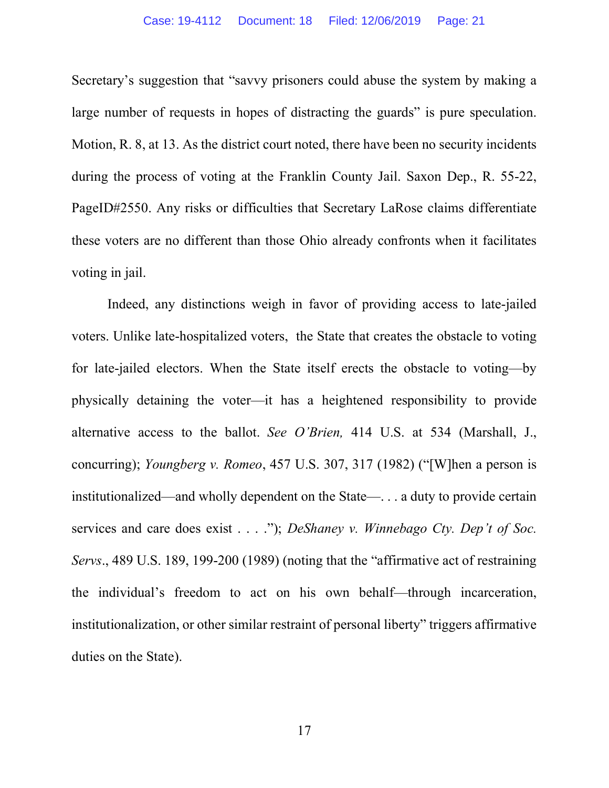Secretary's suggestion that "savvy prisoners could abuse the system by making a large number of requests in hopes of distracting the guards" is pure speculation. Motion, R. 8, at 13. As the district court noted, there have been no security incidents during the process of voting at the Franklin County Jail. Saxon Dep., R. 55-22, PageID#2550. Any risks or difficulties that Secretary LaRose claims differentiate these voters are no different than those Ohio already confronts when it facilitates voting in jail.

 Indeed, any distinctions weigh in favor of providing access to late-jailed voters. Unlike late-hospitalized voters, the State that creates the obstacle to voting for late-jailed electors. When the State itself erects the obstacle to voting—by physically detaining the voter—it has a heightened responsibility to provide alternative access to the ballot. See O'Brien, 414 U.S. at 534 (Marshall, J., concurring); Youngberg v. Romeo, 457 U.S. 307, 317 (1982) ("[W]hen a person is institutionalized—and wholly dependent on the State—. . . a duty to provide certain services and care does exist  $\dots$  "); DeShaney v. Winnebago Cty. Dep't of Soc. Servs., 489 U.S. 189, 199-200 (1989) (noting that the "affirmative act of restraining the individual's freedom to act on his own behalf—through incarceration, institutionalization, or other similar restraint of personal liberty" triggers affirmative duties on the State).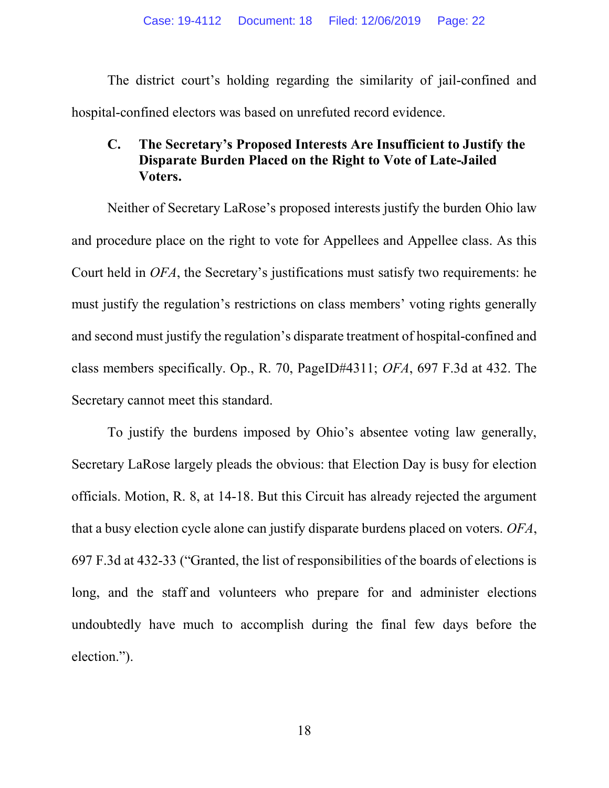The district court's holding regarding the similarity of jail-confined and hospital-confined electors was based on unrefuted record evidence.

## C. The Secretary's Proposed Interests Are Insufficient to Justify the Disparate Burden Placed on the Right to Vote of Late-Jailed Voters.

 Neither of Secretary LaRose's proposed interests justify the burden Ohio law and procedure place on the right to vote for Appellees and Appellee class. As this Court held in OFA, the Secretary's justifications must satisfy two requirements: he must justify the regulation's restrictions on class members' voting rights generally and second must justify the regulation's disparate treatment of hospital-confined and class members specifically. Op., R. 70, PageID#4311; OFA, 697 F.3d at 432. The Secretary cannot meet this standard.

To justify the burdens imposed by Ohio's absentee voting law generally, Secretary LaRose largely pleads the obvious: that Election Day is busy for election officials. Motion, R. 8, at 14-18. But this Circuit has already rejected the argument that a busy election cycle alone can justify disparate burdens placed on voters. OFA, 697 F.3d at 432-33 ("Granted, the list of responsibilities of the boards of elections is long, and the staff and volunteers who prepare for and administer elections undoubtedly have much to accomplish during the final few days before the election.").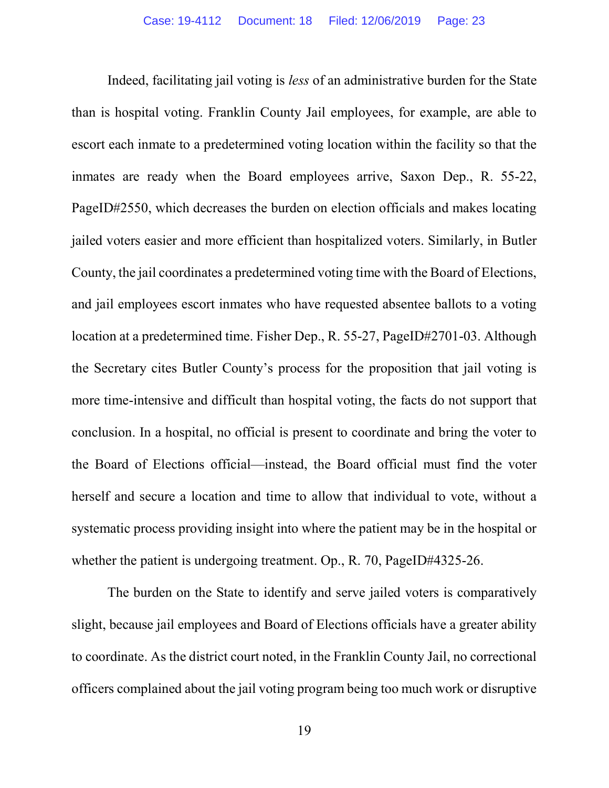Indeed, facilitating jail voting is less of an administrative burden for the State than is hospital voting. Franklin County Jail employees, for example, are able to escort each inmate to a predetermined voting location within the facility so that the inmates are ready when the Board employees arrive, Saxon Dep., R. 55-22, PageID#2550, which decreases the burden on election officials and makes locating jailed voters easier and more efficient than hospitalized voters. Similarly, in Butler County, the jail coordinates a predetermined voting time with the Board of Elections, and jail employees escort inmates who have requested absentee ballots to a voting location at a predetermined time. Fisher Dep., R. 55-27, PageID#2701-03. Although the Secretary cites Butler County's process for the proposition that jail voting is more time-intensive and difficult than hospital voting, the facts do not support that conclusion. In a hospital, no official is present to coordinate and bring the voter to the Board of Elections official—instead, the Board official must find the voter herself and secure a location and time to allow that individual to vote, without a systematic process providing insight into where the patient may be in the hospital or whether the patient is undergoing treatment. Op., R. 70, PageID#4325-26.

The burden on the State to identify and serve jailed voters is comparatively slight, because jail employees and Board of Elections officials have a greater ability to coordinate. As the district court noted, in the Franklin County Jail, no correctional officers complained about the jail voting program being too much work or disruptive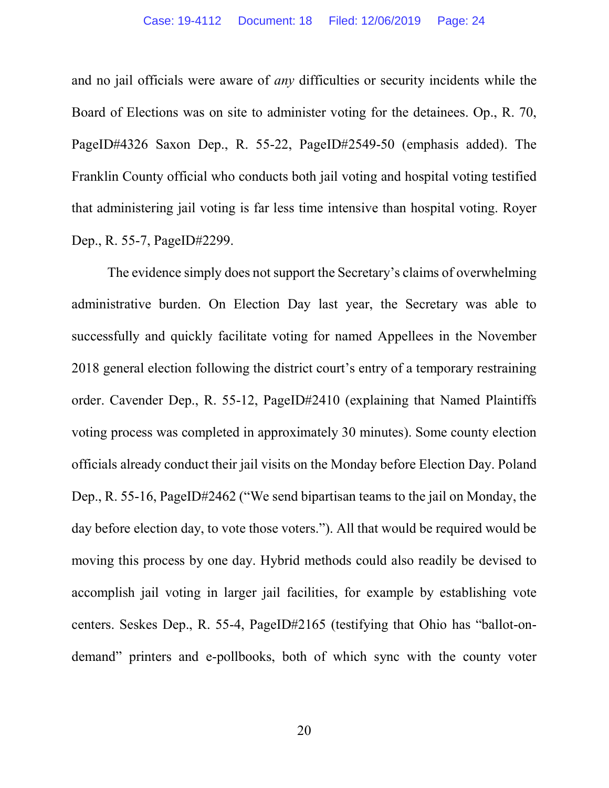and no jail officials were aware of any difficulties or security incidents while the Board of Elections was on site to administer voting for the detainees. Op., R. 70, PageID#4326 Saxon Dep., R. 55-22, PageID#2549-50 (emphasis added). The Franklin County official who conducts both jail voting and hospital voting testified that administering jail voting is far less time intensive than hospital voting. Royer Dep., R. 55-7, PageID#2299.

The evidence simply does not support the Secretary's claims of overwhelming administrative burden. On Election Day last year, the Secretary was able to successfully and quickly facilitate voting for named Appellees in the November 2018 general election following the district court's entry of a temporary restraining order. Cavender Dep., R. 55-12, PageID#2410 (explaining that Named Plaintiffs voting process was completed in approximately 30 minutes). Some county election officials already conduct their jail visits on the Monday before Election Day. Poland Dep., R. 55-16, PageID#2462 ("We send bipartisan teams to the jail on Monday, the day before election day, to vote those voters."). All that would be required would be moving this process by one day. Hybrid methods could also readily be devised to accomplish jail voting in larger jail facilities, for example by establishing vote centers. Seskes Dep., R. 55-4, PageID#2165 (testifying that Ohio has "ballot-ondemand" printers and e-pollbooks, both of which sync with the county voter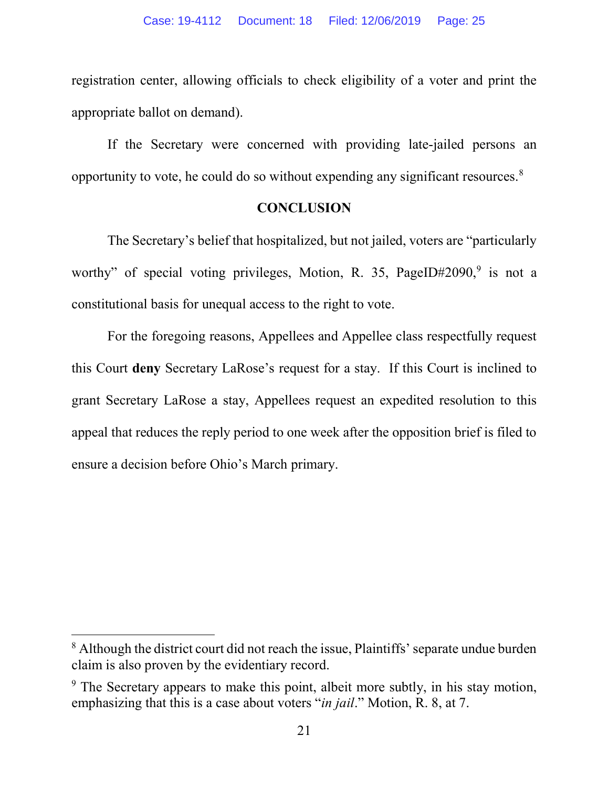registration center, allowing officials to check eligibility of a voter and print the appropriate ballot on demand).

If the Secretary were concerned with providing late-jailed persons an opportunity to vote, he could do so without expending any significant resources.<sup>8</sup>

#### **CONCLUSION**

 The Secretary's belief that hospitalized, but not jailed, voters are "particularly worthy" of special voting privileges, Motion, R. 35, PageID#2090,<sup>9</sup> is not a constitutional basis for unequal access to the right to vote.

For the foregoing reasons, Appellees and Appellee class respectfully request this Court deny Secretary LaRose's request for a stay. If this Court is inclined to grant Secretary LaRose a stay, Appellees request an expedited resolution to this appeal that reduces the reply period to one week after the opposition brief is filed to ensure a decision before Ohio's March primary.

<sup>&</sup>lt;sup>8</sup> Although the district court did not reach the issue, Plaintiffs' separate undue burden claim is also proven by the evidentiary record.

<sup>&</sup>lt;sup>9</sup> The Secretary appears to make this point, albeit more subtly, in his stay motion, emphasizing that this is a case about voters "in jail." Motion, R. 8, at 7.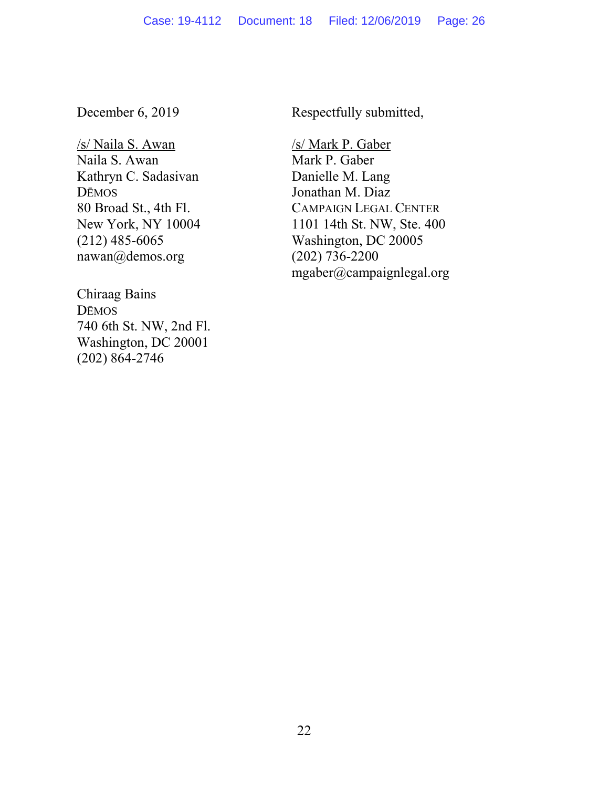December 6, 2019

/s/ Naila S. Awan Naila S. Awan Kathryn C. Sadasivan DĒMOS 80 Broad St., 4th Fl. New York, NY 10004 (212) 485-6065 nawan@demos.org

Chiraag Bains DĒMOS 740 6th St. NW, 2nd Fl. Washington, DC 20001 (202) 864-2746

Respectfully submitted,

/s/ Mark P. Gaber Mark P. Gaber Danielle M. Lang Jonathan M. Diaz CAMPAIGN LEGAL CENTER 1101 14th St. NW, Ste. 400 Washington, DC 20005 (202) 736-2200 mgaber@campaignlegal.org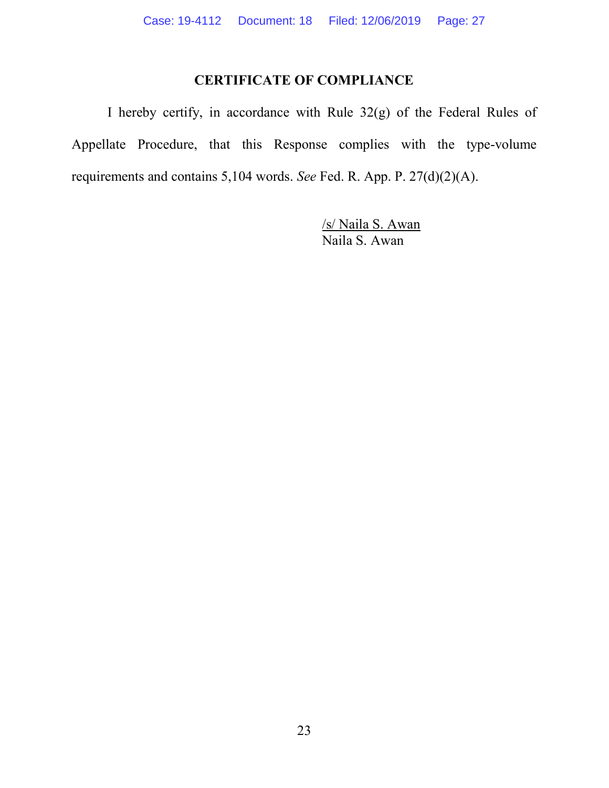## CERTIFICATE OF COMPLIANCE

 I hereby certify, in accordance with Rule 32(g) of the Federal Rules of Appellate Procedure, that this Response complies with the type-volume requirements and contains 5,104 words. See Fed. R. App. P. 27(d)(2)(A).

> /s/ Naila S. Awan Naila S. Awan